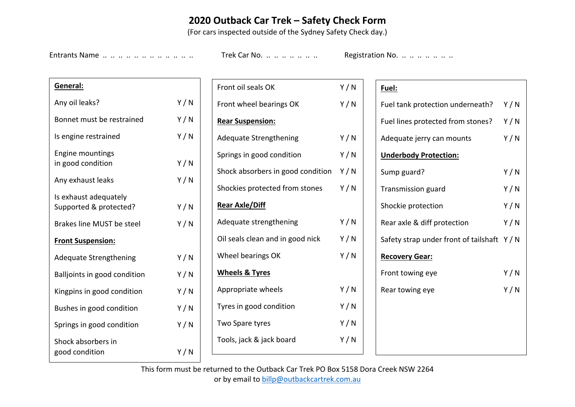## **2020 Outback Car Trek – Safety Check Form**

(For cars inspected outside of the Sydney Safety Check day.)

Entrants Name .. .. .. .. .. .. .. .. .. .. .. Trek Car No. .. .. .. .. .. .. .. Registration No. .. .. .. .. .. ..

| General:                                        |     |  |  |  |  |  |
|-------------------------------------------------|-----|--|--|--|--|--|
| Any oil leaks?                                  | Y/N |  |  |  |  |  |
| Bonnet must be restrained                       | Y/N |  |  |  |  |  |
| Is engine restrained                            | Y/N |  |  |  |  |  |
| <b>Engine mountings</b><br>in good condition    | Y/N |  |  |  |  |  |
| Any exhaust leaks                               | Y/N |  |  |  |  |  |
| Is exhaust adequately<br>Supported & protected? | Y/N |  |  |  |  |  |
| <b>Brakes line MUST be steel</b>                | Y/N |  |  |  |  |  |
| <b>Front Suspension:</b>                        |     |  |  |  |  |  |
| <b>Adequate Strengthening</b>                   | Y/N |  |  |  |  |  |
| Balljoints in good condition                    | Y/N |  |  |  |  |  |
| Kingpins in good condition                      | Y/N |  |  |  |  |  |
| Bushes in good condition                        | Y/N |  |  |  |  |  |
| Springs in good condition                       | Y/N |  |  |  |  |  |
| Shock absorbers in<br>good condition            | Y/N |  |  |  |  |  |

| Front oil seals OK                      | Y/N |
|-----------------------------------------|-----|
| Front wheel bearings OK                 | Y/N |
| <b>Rear Suspension:</b>                 |     |
| <b>Adequate Strengthening</b>           | Y/N |
| Springs in good condition               | Y/N |
| Shock absorbers in good condition $Y/N$ |     |
| Shockies protected from stones          | Y/N |
| <u>Rear Axle/Diff</u>                   |     |
| Adequate strengthening                  | Y/N |
| Oil seals clean and in good nick        | Y/N |
| Wheel bearings OK                       | Y/N |
| <u>Wheels &amp; Tyres</u>               |     |
| Appropriate wheels                      | Y/N |
| Tyres in good condition                 | Y/N |
| Two Spare tyres                         | Y/N |
| Tools, jack & jack board                | Y/N |
|                                         |     |

## **Fuel:**

| Fuel tank protection underneath?            | Y/N |
|---------------------------------------------|-----|
| Fuel lines protected from stones?           | Y/N |
| Adequate jerry can mounts                   | Y/N |
| <b>Underbody Protection:</b>                |     |
| Sump guard?                                 | Y/N |
| <b>Transmission guard</b>                   | Y/N |
| Shockie protection                          | Y/N |
| Rear axle & diff protection                 | Y/N |
| Safety strap under front of tailshaft $Y/N$ |     |
| <b>Recovery Gear:</b>                       |     |
| Front towing eye                            | Y/N |
| Rear towing eye                             | Y/N |
|                                             |     |
|                                             |     |
|                                             |     |
|                                             |     |

This form must be returned to the Outback Car Trek PO Box 5158 Dora Creek NSW 2264 or by email to billp@outbackcartrek.com.au